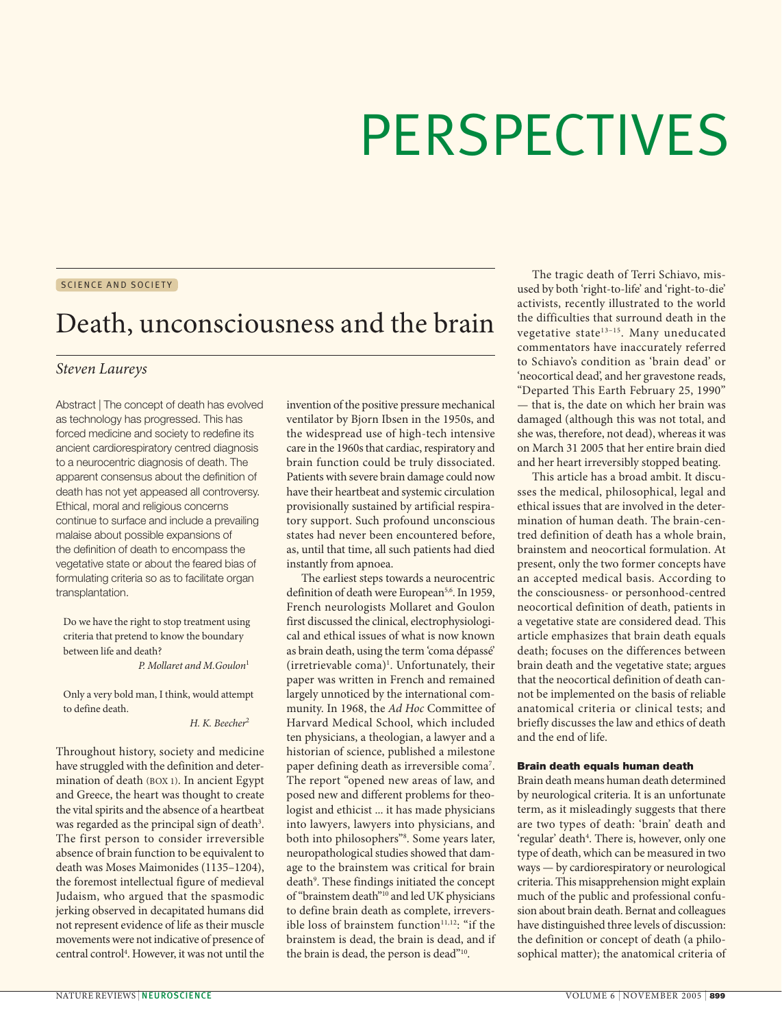# PERSPECTIVES

# SCIENCE AND SOCIETY

# Death, unconsciousness and the brain

# *Steven Laureys*

Abstract | The concept of death has evolved as technology has progressed. This has forced medicine and society to redefine its ancient cardiorespiratory centred diagnosis to a neurocentric diagnosis of death. The apparent consensus about the definition of death has not yet appeased all controversy. Ethical, moral and religious concerns continue to surface and include a prevailing malaise about possible expansions of the definition of death to encompass the vegetative state or about the feared bias of formulating criteria so as to facilitate organ transplantation.

Do we have the right to stop treatment using criteria that pretend to know the boundary between life and death? *P. Mollaret and M.Goulon*<sup>1</sup>

Only a very bold man, I think, would attempt to define death.

#### *H. K. Beecher*<sup>2</sup>

Throughout history, society and medicine have struggled with the definition and determination of death (BOX 1). In ancient Egypt and Greece, the heart was thought to create the vital spirits and the absence of a heartbeat was regarded as the principal sign of death<sup>3</sup>. The first person to consider irreversible absence of brain function to be equivalent to death was Moses Maimonides (1135–1204), the foremost intellectual figure of medieval Judaism, who argued that the spasmodic jerking observed in decapitated humans did not represent evidence of life as their muscle movements were not indicative of presence of central control<sup>4</sup>. However, it was not until the invention of the positive pressure mechanical ventilator by Bjorn Ibsen in the 1950s, and the widespread use of high-tech intensive care in the 1960s that cardiac, respiratory and brain function could be truly dissociated. Patients with severe brain damage could now have their heartbeat and systemic circulation provisionally sustained by artificial respiratory support. Such profound unconscious states had never been encountered before, as, until that time, all such patients had died instantly from apnoea.

The earliest steps towards a neurocentric definition of death were European<sup>5,6</sup>. In 1959, French neurologists Mollaret and Goulon first discussed the clinical, electrophysiological and ethical issues of what is now known as brain death, using the term 'coma dépassé' (irretrievable coma)<sup>1</sup>. Unfortunately, their paper was written in French and remained largely unnoticed by the international community. In 1968, the *Ad Hoc* Committee of Harvard Medical School, which included ten physicians, a theologian, a lawyer and a historian of science, published a milestone paper defining death as irreversible coma<sup>7</sup>. The report "opened new areas of law, and posed new and different problems for theologist and ethicist ... it has made physicians into lawyers, lawyers into physicians, and both into philosophers"8 . Some years later, neuropathological studies showed that damage to the brainstem was critical for brain death<sup>9</sup>. These findings initiated the concept of "brainstem death"10 and led UK physicians to define brain death as complete, irreversible loss of brainstem function<sup>11,12</sup>: "if the brainstem is dead, the brain is dead, and if the brain is dead, the person is dead"10.

The tragic death of Terri Schiavo, misused by both 'right-to-life' and 'right-to-die' activists, recently illustrated to the world the difficulties that surround death in the vegetative state<sup>13-15</sup>. Many uneducated commentators have inaccurately referred to Schiavo's condition as 'brain dead' or 'neocortical dead', and her gravestone reads, "Departed This Earth February 25, 1990" — that is, the date on which her brain was damaged (although this was not total, and she was, therefore, not dead), whereas it was on March 31 2005 that her entire brain died and her heart irreversibly stopped beating.

This article has a broad ambit. It discusses the medical, philosophical, legal and ethical issues that are involved in the determination of human death. The brain-centred definition of death has a whole brain, brainstem and neocortical formulation. At present, only the two former concepts have an accepted medical basis. According to the consciousness- or personhood-centred neocortical definition of death, patients in a vegetative state are considered dead. This article emphasizes that brain death equals death; focuses on the differences between brain death and the vegetative state; argues that the neocortical definition of death cannot be implemented on the basis of reliable anatomical criteria or clinical tests; and briefly discusses the law and ethics of death and the end of life.

#### **Brain death equals human death**

Brain death means human death determined by neurological criteria. It is an unfortunate term, as it misleadingly suggests that there are two types of death: 'brain' death and 'regular' death<sup>4</sup>. There is, however, only one type of death, which can be measured in two ways — by cardiorespiratory or neurological criteria. This misapprehension might explain much of the public and professional confusion about brain death. Bernat and colleagues have distinguished three levels of discussion: the definition or concept of death (a philosophical matter); the anatomical criteria of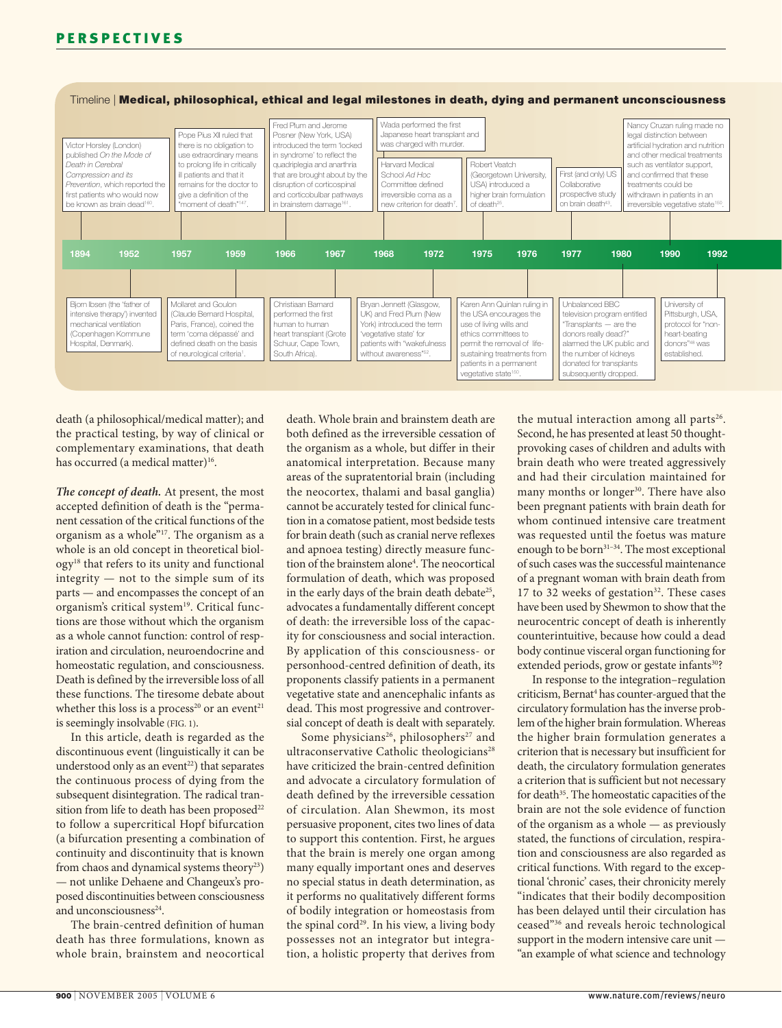

# Timeline | **Medical, philosophical, ethical and legal milestones in death, dying and permanent unconsciousness**

death (a philosophical/medical matter); and the practical testing, by way of clinical or complementary examinations, that death has occurred (a medical matter)<sup>16</sup>.

*The concept of death.* At present, the most accepted definition of death is the "permanent cessation of the critical functions of the organism as a whole"17. The organism as a whole is an old concept in theoretical biology18 that refers to its unity and functional integrity — not to the simple sum of its parts — and encompasses the concept of an organism's critical system<sup>19</sup>. Critical functions are those without which the organism as a whole cannot function: control of respiration and circulation, neuroendocrine and homeostatic regulation, and consciousness. Death is defined by the irreversible loss of all these functions. The tiresome debate about whether this loss is a process<sup>20</sup> or an event<sup>21</sup> is seemingly insolvable (FIG. 1).

In this article, death is regarded as the discontinuous event (linguistically it can be understood only as an event $^{22}$ ) that separates the continuous process of dying from the subsequent disintegration. The radical transition from life to death has been proposed<sup>22</sup> to follow a supercritical Hopf bifurcation (a bifurcation presenting a combination of continuity and discontinuity that is known from chaos and dynamical systems theory<sup>23</sup>) — not unlike Dehaene and Changeux's proposed discontinuities between consciousness and unconsciousness<sup>24</sup>.

The brain-centred definition of human death has three formulations, known as whole brain, brainstem and neocortical death. Whole brain and brainstem death are both defined as the irreversible cessation of the organism as a whole, but differ in their anatomical interpretation. Because many areas of the supratentorial brain (including the neocortex, thalami and basal ganglia) cannot be accurately tested for clinical function in a comatose patient, most bedside tests for brain death (such as cranial nerve reflexes and apnoea testing) directly measure function of the brainstem alone<sup>4</sup>. The neocortical formulation of death, which was proposed in the early days of the brain death debate<sup>25</sup>, advocates a fundamentally different concept of death: the irreversible loss of the capacity for consciousness and social interaction. By application of this consciousness- or personhood-centred definition of death, its proponents classify patients in a permanent vegetative state and anencephalic infants as dead. This most progressive and controversial concept of death is dealt with separately.

Some physicians<sup>26</sup>, philosophers<sup>27</sup> and ultraconservative Catholic theologicians<sup>28</sup> have criticized the brain-centred definition and advocate a circulatory formulation of death defined by the irreversible cessation of circulation. Alan Shewmon, its most persuasive proponent, cites two lines of data to support this contention. First, he argues that the brain is merely one organ among many equally important ones and deserves no special status in death determination, as it performs no qualitatively different forms of bodily integration or homeostasis from the spinal cord<sup>29</sup>. In his view, a living body possesses not an integrator but integration, a holistic property that derives from

the mutual interaction among all parts<sup>26</sup>. Second, he has presented at least 50 thoughtprovoking cases of children and adults with brain death who were treated aggressively and had their circulation maintained for many months or longer<sup>30</sup>. There have also been pregnant patients with brain death for whom continued intensive care treatment was requested until the foetus was mature enough to be born<sup>31-34</sup>. The most exceptional of such cases was the successful maintenance of a pregnant woman with brain death from 17 to 32 weeks of gestation<sup>32</sup>. These cases have been used by Shewmon to show that the neurocentric concept of death is inherently counterintuitive, because how could a dead body continue visceral organ functioning for extended periods, grow or gestate infants<sup>30</sup>?

In response to the integration–regulation criticism, Bernat<sup>4</sup> has counter-argued that the circulatory formulation has the inverse problem of the higher brain formulation. Whereas the higher brain formulation generates a criterion that is necessary but insufficient for death, the circulatory formulation generates a criterion that is sufficient but not necessary for death<sup>35</sup>. The homeostatic capacities of the brain are not the sole evidence of function of the organism as a whole — as previously stated, the functions of circulation, respiration and consciousness are also regarded as critical functions. With regard to the exceptional 'chronic' cases, their chronicity merely "indicates that their bodily decomposition has been delayed until their circulation has ceased"36 and reveals heroic technological support in the modern intensive care unit — "an example of what science and technology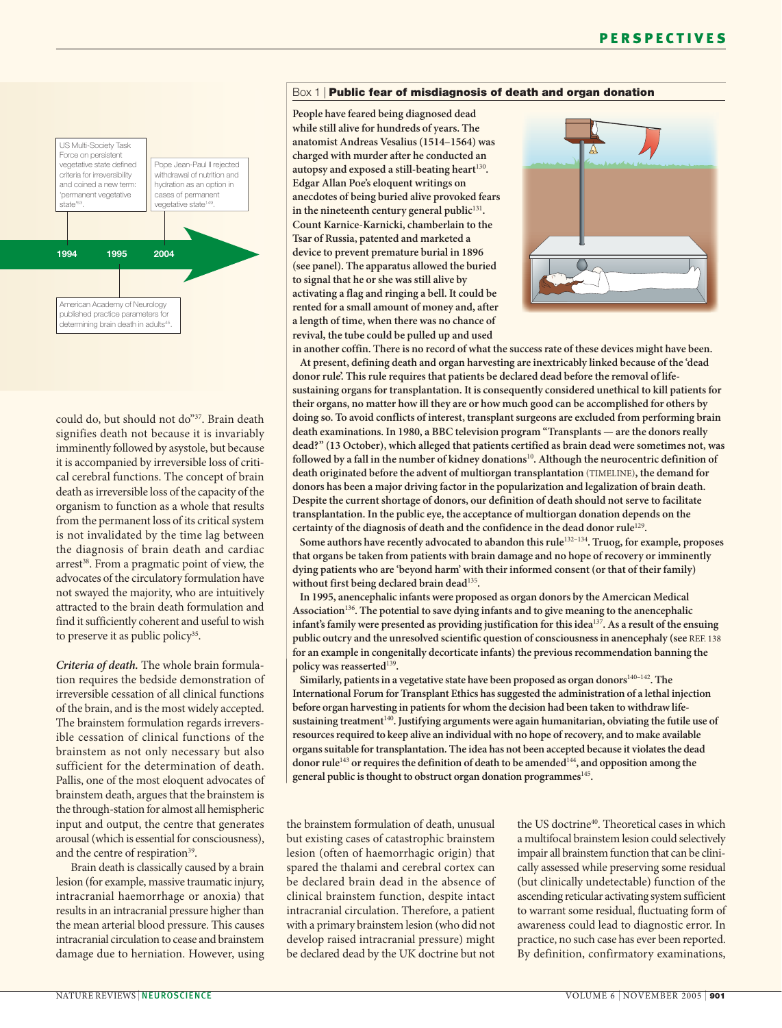

could do, but should not do"37. Brain death signifies death not because it is invariably imminently followed by asystole, but because it is accompanied by irreversible loss of critical cerebral functions. The concept of brain death as irreversible loss of the capacity of the organism to function as a whole that results from the permanent loss of its critical system is not invalidated by the time lag between the diagnosis of brain death and cardiac arrest<sup>38</sup>. From a pragmatic point of view, the advocates of the circulatory formulation have not swayed the majority, who are intuitively attracted to the brain death formulation and find it sufficiently coherent and useful to wish to preserve it as public policy<sup>35</sup>.

*Criteria of death.* The whole brain formulation requires the bedside demonstration of irreversible cessation of all clinical functions of the brain, and is the most widely accepted. The brainstem formulation regards irreversible cessation of clinical functions of the brainstem as not only necessary but also sufficient for the determination of death. Pallis, one of the most eloquent advocates of brainstem death, argues that the brainstem is the through-station for almost all hemispheric input and output, the centre that generates arousal (which is essential for consciousness), and the centre of respiration<sup>39</sup>.

Brain death is classically caused by a brain lesion (for example, massive traumatic injury, intracranial haemorrhage or anoxia) that results in an intracranial pressure higher than the mean arterial blood pressure. This causes intracranial circulation to cease and brainstem damage due to herniation. However, using

# Box 1 | **Public fear of misdiagnosis of death and organ donation**

**People have feared being diagnosed dead while still alive for hundreds of years. The anatomist Andreas Vesalius (1514–1564) was charged with murder after he conducted an autopsy and exposed a still-beating heart**<sup>130</sup>**. Edgar Allan Poe's eloquent writings on anecdotes of being buried alive provoked fears**  in the nineteenth century general public<sup>131</sup>. **Count Karnice-Karnicki, chamberlain to the Tsar of Russia, patented and marketed a device to prevent premature burial in 1896 (see panel). The apparatus allowed the buried to signal that he or she was still alive by activating a flag and ringing a bell. It could be rented for a small amount of money and, after a length of time, when there was no chance of revival, the tube could be pulled up and used** 



**in another coffin. There is no record of what the success rate of these devices might have been. At present, defining death and organ harvesting are inextricably linked because of the 'dead donor rule'. This rule requires that patients be declared dead before the removal of lifesustaining organs for transplantation. It is consequently considered unethical to kill patients for their organs, no matter how ill they are or how much good can be accomplished for others by doing so. To avoid conflicts of interest, transplant surgeons are excluded from performing brain death examinations. In 1980, a BBC television program "Transplants — are the donors really dead?" (13 October), which alleged that patients certified as brain dead were sometimes not, was followed by a fall in the number of kidney donations**<sup>10</sup>**. Although the neurocentric definition of death originated before the advent of multiorgan transplantation** TIMELINE**, the demand for donors has been a major driving factor in the popularization and legalization of brain death. Despite the current shortage of donors, our definition of death should not serve to facilitate transplantation. In the public eye, the acceptance of multiorgan donation depends on the certainty of the diagnosis of death and the confidence in the dead donor rule**<sup>129</sup>**.**

**Some authors have recently advocated to abandon this rule**132–134**. Truog, for example, proposes that organs be taken from patients with brain damage and no hope of recovery or imminently dying patients who are 'beyond harm' with their informed consent (or that of their family) without first being declared brain dead**<sup>135</sup>**.**

**In 1995, anencephalic infants were proposed as organ donors by the Amercican Medical Association**<sup>136</sup>**. The potential to save dying infants and to give meaning to the anencephalic infant's family were presented as providing justification for this idea**<sup>137</sup>**. As a result of the ensuing public outcry and the unresolved scientific question of consciousness in anencephaly (see** REF. 138 **for an example in congenitally decorticate infants) the previous recommendation banning the**  policy was reasserted<sup>139</sup>.

**Similarly, patients in a vegetative state have been proposed as organ donors**140–142**. The International Forum for Transplant Ethics has suggested the administration of a lethal injection before organ harvesting in patients for whom the decision had been taken to withdraw lifesustaining treatment**<sup>140</sup>**. Justifying arguments were again humanitarian, obviating the futile use of resources required to keep alive an individual with no hope of recovery, and to make available organs suitable for transplantation. The idea has not been accepted because it violates the dead donor rule**<sup>143</sup> **or requires the definition of death to be amended**<sup>144</sup>**, and opposition among the general public is thought to obstruct organ donation programmes**<sup>145</sup>**.**

the brainstem formulation of death, unusual but existing cases of catastrophic brainstem lesion (often of haemorrhagic origin) that spared the thalami and cerebral cortex can be declared brain dead in the absence of clinical brainstem function, despite intact intracranial circulation. Therefore, a patient with a primary brainstem lesion (who did not develop raised intracranial pressure) might be declared dead by the UK doctrine but not

the US doctrine<sup>40</sup>. Theoretical cases in which a multifocal brainstem lesion could selectively impair all brainstem function that can be clinically assessed while preserving some residual (but clinically undetectable) function of the ascending reticular activating system sufficient to warrant some residual, fluctuating form of awareness could lead to diagnostic error. In practice, no such case has ever been reported. By definition, confirmatory examinations,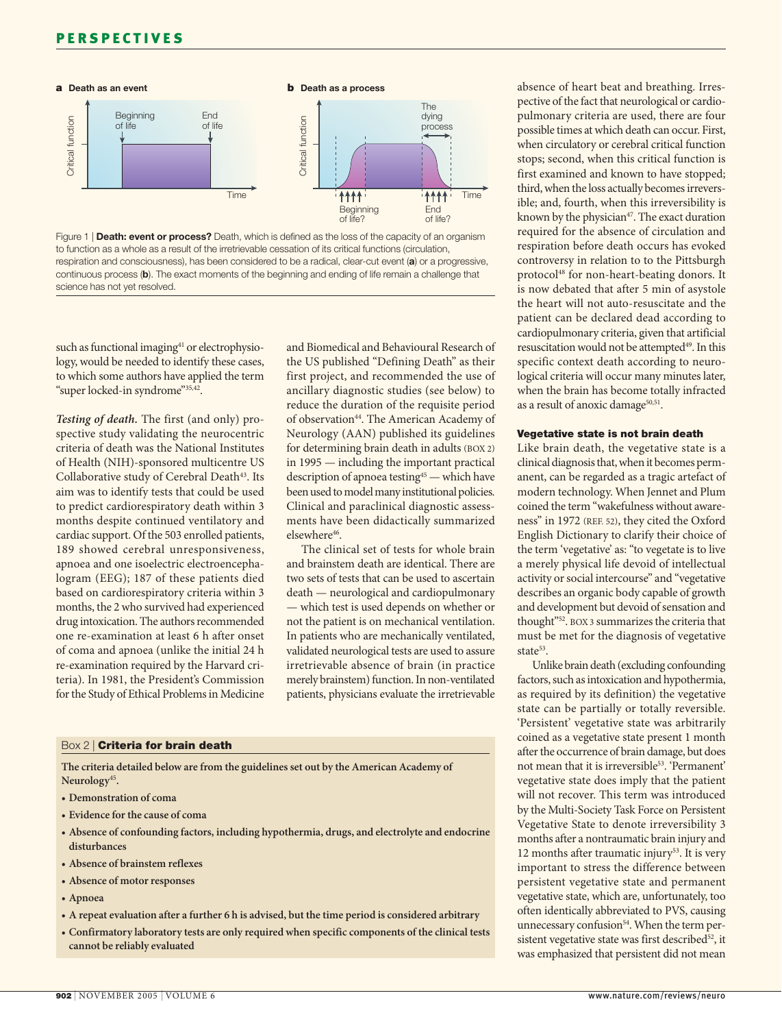

Figure 1 | **Death: event or process?** Death, which is defined as the loss of the capacity of an organism to function as a whole as a result of the irretrievable cessation of its critical functions (circulation, respiration and consciousness), has been considered to be a radical, clear-cut event (**a**) or a progressive, continuous process (**b**). The exact moments of the beginning and ending of life remain a challenge that science has not yet resolved.

such as functional imaging<sup>41</sup> or electrophysiology, would be needed to identify these cases, to which some authors have applied the term "super locked-in syndrome"35,42.

*Testing of death.* The first (and only) prospective study validating the neurocentric criteria of death was the National Institutes of Health (NIH)-sponsored multicentre US Collaborative study of Cerebral Death<sup>43</sup>. Its aim was to identify tests that could be used to predict cardiorespiratory death within 3 months despite continued ventilatory and cardiac support. Of the 503 enrolled patients, 189 showed cerebral unresponsiveness, apnoea and one isoelectric electroencephalogram (EEG); 187 of these patients died based on cardiorespiratory criteria within 3 months, the 2 who survived had experienced drug intoxication. The authors recommended one re-examination at least 6 h after onset of coma and apnoea (unlike the initial 24 h re-examination required by the Harvard criteria). In 1981, the President's Commission for the Study of Ethical Problems in Medicine

and Biomedical and Behavioural Research of the US published "Defining Death" as their first project, and recommended the use of ancillary diagnostic studies (see below) to reduce the duration of the requisite period of observation<sup>44</sup>. The American Academy of Neurology (AAN) published its guidelines for determining brain death in adults (BOX 2) in 1995 — including the important practical description of apnoea testing<sup>45</sup> — which have been used to model many institutional policies. Clinical and paraclinical diagnostic assessments have been didactically summarized elsewhere<sup>46</sup>.

The clinical set of tests for whole brain and brainstem death are identical. There are two sets of tests that can be used to ascertain death — neurological and cardiopulmonary — which test is used depends on whether or not the patient is on mechanical ventilation. In patients who are mechanically ventilated, validated neurological tests are used to assure irretrievable absence of brain (in practice merely brainstem) function. In non-ventilated patients, physicians evaluate the irretrievable

#### Box 2 | **Criteria for brain death**

**The criteria detailed below are from the guidelines set out by the American Academy of Neurology**<sup>45</sup>**.**

- **Demonstration of coma**
- **Evidence for the cause of coma**
- **Absence of confounding factors, including hypothermia, drugs, and electrolyte and endocrine disturbances**
- **Absence of brainstem reflexes**
- **Absence of motor responses**
- **Apnoea**
- **A repeat evaluation after a further 6 h is advised, but the time period is considered arbitrary**
- **Confirmatory laboratory tests are only required when specific components of the clinical tests cannot be reliably evaluated**

absence of heart beat and breathing. Irrespective of the fact that neurological or cardiopulmonary criteria are used, there are four possible times at which death can occur. First, when circulatory or cerebral critical function stops; second, when this critical function is first examined and known to have stopped; third, when the loss actually becomes irreversible; and, fourth, when this irreversibility is known by the physician<sup>47</sup>. The exact duration required for the absence of circulation and respiration before death occurs has evoked controversy in relation to to the Pittsburgh protocol<sup>48</sup> for non-heart-beating donors. It is now debated that after 5 min of asystole the heart will not auto-resuscitate and the patient can be declared dead according to cardiopulmonary criteria, given that artificial resuscitation would not be attempted<sup>49</sup>. In this specific context death according to neurological criteria will occur many minutes later, when the brain has become totally infracted as a result of anoxic damage<sup>50,51</sup>.

#### **Vegetative state is not brain death**

Like brain death, the vegetative state is a clinical diagnosis that, when it becomes permanent, can be regarded as a tragic artefact of modern technology. When Jennet and Plum coined the term "wakefulness without awareness" in 1972 REF. 52, they cited the Oxford English Dictionary to clarify their choice of the term 'vegetative' as: "to vegetate is to live a merely physical life devoid of intellectual activity or social intercourse" and "vegetative describes an organic body capable of growth and development but devoid of sensation and thought"52. BOX 3 summarizes the criteria that must be met for the diagnosis of vegetative state<sup>53</sup>.

Unlike brain death (excluding confounding factors, such as intoxication and hypothermia, as required by its definition) the vegetative state can be partially or totally reversible. 'Persistent' vegetative state was arbitrarily coined as a vegetative state present 1 month after the occurrence of brain damage, but does not mean that it is irreversible<sup>53</sup>. 'Permanent' vegetative state does imply that the patient will not recover. This term was introduced by the Multi-Society Task Force on Persistent Vegetative State to denote irreversibility 3 months after a nontraumatic brain injury and 12 months after traumatic injury<sup>53</sup>. It is very important to stress the difference between persistent vegetative state and permanent vegetative state, which are, unfortunately, too often identically abbreviated to PVS, causing unnecessary confusion<sup>54</sup>. When the term persistent vegetative state was first described<sup>52</sup>, it was emphasized that persistent did not mean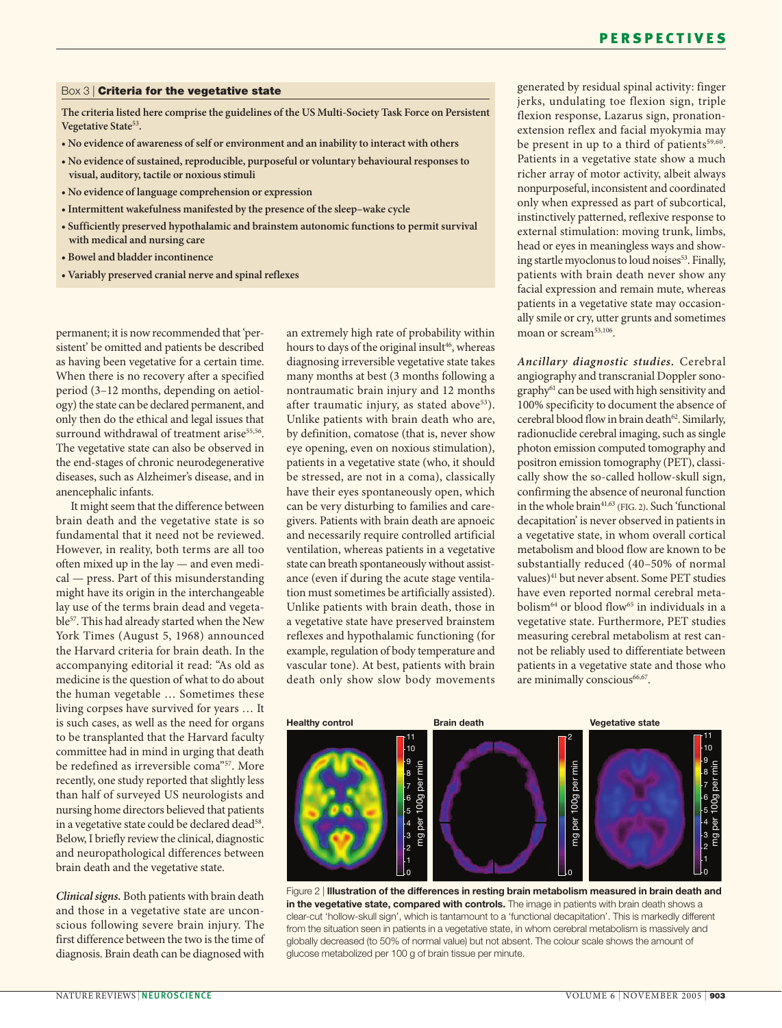#### Box 3 | **Criteria for the vegetative state**

**The criteria listed here comprise the guidelines of the US Multi-Society Task Force on Persistent Vegetative State**<sup>53</sup>**.**

- **No evidence of awareness of self or environment and an inability to interact with others**
- **No evidence of sustained, reproducible, purposeful or voluntary behavioural responses to visual, auditory, tactile or noxious stimuli**
- **No evidence of language comprehension or expression**
- **Intermittent wakefulness manifested by the presence of the sleep–wake cycle**
- **Sufficiently preserved hypothalamic and brainstem autonomic functions to permit survival with medical and nursing care**
- **Bowel and bladder incontinence**
- **Variably preserved cranial nerve and spinal reflexes**

permanent; it is now recommended that 'persistent' be omitted and patients be described as having been vegetative for a certain time. When there is no recovery after a specified period (3–12 months, depending on aetiology) the state can be declared permanent, and only then do the ethical and legal issues that surround withdrawal of treatment arise<sup>55,56</sup>. The vegetative state can also be observed in the end-stages of chronic neurodegenerative diseases, such as Alzheimer's disease, and in anencephalic infants.

It might seem that the difference between brain death and the vegetative state is so fundamental that it need not be reviewed. However, in reality, both terms are all too often mixed up in the lay — and even medical — press. Part of this misunderstanding might have its origin in the interchangeable lay use of the terms brain dead and vegetable<sup>57</sup>. This had already started when the New York Times (August 5, 1968) announced the Harvard criteria for brain death. In the accompanying editorial it read: "As old as medicine is the question of what to do about the human vegetable … Sometimes these living corpses have survived for years … It is such cases, as well as the need for organs to be transplanted that the Harvard faculty committee had in mind in urging that death be redefined as irreversible coma"<sup>57</sup>. More recently, one study reported that slightly less than half of surveyed US neurologists and nursing home directors believed that patients in a vegetative state could be declared dead<sup>58</sup>. Below, I briefly review the clinical, diagnostic and neuropathological differences between brain death and the vegetative state.

*Clinical signs.* Both patients with brain death and those in a vegetative state are unconscious following severe brain injury. The first difference between the two is the time of diagnosis. Brain death can be diagnosed with

an extremely high rate of probability within hours to days of the original insult<sup>46</sup>, whereas diagnosing irreversible vegetative state takes many months at best (3 months following a nontraumatic brain injury and 12 months after traumatic injury, as stated above<sup>53</sup>). Unlike patients with brain death who are, by definition, comatose (that is, never show eye opening, even on noxious stimulation), patients in a vegetative state (who, it should be stressed, are not in a coma), classically have their eyes spontaneously open, which can be very disturbing to families and caregivers. Patients with brain death are apnoeic and necessarily require controlled artificial ventilation, whereas patients in a vegetative state can breath spontaneously without assistance (even if during the acute stage ventilation must sometimes be artificially assisted). Unlike patients with brain death, those in a vegetative state have preserved brainstem reflexes and hypothalamic functioning (for example, regulation of body temperature and vascular tone). At best, patients with brain death only show slow body movements

generated by residual spinal activity: finger jerks, undulating toe flexion sign, triple flexion response, Lazarus sign, pronationextension reflex and facial myokymia may be present in up to a third of patients<sup>59,60</sup>. Patients in a vegetative state show a much richer array of motor activity, albeit always nonpurposeful, inconsistent and coordinated only when expressed as part of subcortical, instinctively patterned, reflexive response to external stimulation: moving trunk, limbs, head or eyes in meaningless ways and showing startle myoclonus to loud noises<sup>53</sup>. Finally, patients with brain death never show any facial expression and remain mute, whereas patients in a vegetative state may occasionally smile or cry, utter grunts and sometimes moan or scream<sup>53,106</sup>.

*Ancillary diagnostic studies.* Cerebral angiography and transcranial Doppler sonography61 can be used with high sensitivity and 100% specificity to document the absence of cerebral blood flow in brain death<sup>62</sup>. Similarly, radionuclide cerebral imaging, such as single photon emission computed tomography and positron emission tomography (PET), classically show the so-called hollow-skull sign, confirming the absence of neuronal function in the whole brain<sup>41,63</sup> (FIG. 2). Such 'functional decapitation' is never observed in patients in a vegetative state, in whom overall cortical metabolism and blood flow are known to be substantially reduced (40–50% of normal values)41 but never absent. Some PET studies have even reported normal cerebral metabolism<sup>64</sup> or blood flow<sup>65</sup> in individuals in a vegetative state. Furthermore, PET studies measuring cerebral metabolism at rest cannot be reliably used to differentiate between patients in a vegetative state and those who are minimally conscious<sup>66,67</sup>.



Figure 2 | **Illustration of the differences in resting brain metabolism measured in brain death and**  in the vegetative state, compared with controls. The image in patients with brain death shows a clear-cut 'hollow-skull sign', which is tantamount to a 'functional decapitation'. This is markedly different from the situation seen in patients in a vegetative state, in whom cerebral metabolism is massively and globally decreased (to 50% of normal value) but not absent. The colour scale shows the amount of glucose metabolized per 100 g of brain tissue per minute.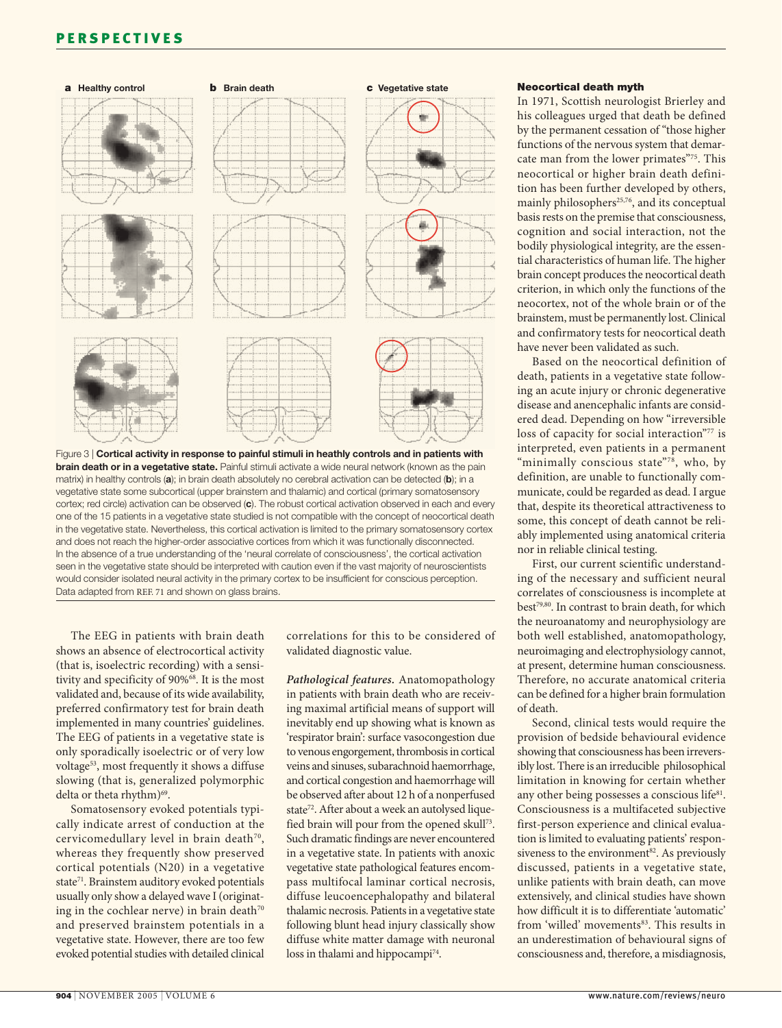

Figure 3 | **Cortical activity in response to painful stimuli in heathly controls and in patients with brain death or in a vegetative state.** Painful stimuli activate a wide neural network (known as the pain matrix) in healthy controls (**a**); in brain death absolutely no cerebral activation can be detected (**b**); in a vegetative state some subcortical (upper brainstem and thalamic) and cortical (primary somatosensory cortex; red circle) activation can be observed (**c**). The robust cortical activation observed in each and every one of the 15 patients in a vegetative state studied is not compatible with the concept of neocortical death in the vegetative state. Nevertheless, this cortical activation is limited to the primary somatosensory cortex and does not reach the higher-order associative cortices from which it was functionally disconnected. In the absence of a true understanding of the 'neural correlate of consciousness', the cortical activation seen in the vegetative state should be interpreted with caution even if the vast majority of neuroscientists would consider isolated neural activity in the primary cortex to be insufficient for conscious perception. Data adapted from REF. 71 and shown on glass brains.

The EEG in patients with brain death shows an absence of electrocortical activity (that is, isoelectric recording) with a sensitivity and specificity of 90%<sup>68</sup>. It is the most validated and, because of its wide availability, preferred confirmatory test for brain death implemented in many countries' guidelines. The EEG of patients in a vegetative state is only sporadically isoelectric or of very low voltage<sup>53</sup>, most frequently it shows a diffuse slowing (that is, generalized polymorphic delta or theta rhythm)<sup>69</sup>.

Somatosensory evoked potentials typically indicate arrest of conduction at the cervicomedullary level in brain death<sup>70</sup>, whereas they frequently show preserved cortical potentials (N20) in a vegetative state<sup>71</sup>. Brainstem auditory evoked potentials usually only show a delayed wave I (originating in the cochlear nerve) in brain death<sup>70</sup> and preserved brainstem potentials in a vegetative state. However, there are too few evoked potential studies with detailed clinical

correlations for this to be considered of validated diagnostic value.

*Pathological features.* Anatomopathology in patients with brain death who are receiving maximal artificial means of support will inevitably end up showing what is known as 'respirator brain': surface vasocongestion due to venous engorgement, thrombosis in cortical veins and sinuses, subarachnoid haemorrhage, and cortical congestion and haemorrhage will be observed after about 12 h of a nonperfused state<sup>72</sup>. After about a week an autolysed liquefied brain will pour from the opened skull<sup>73</sup>. Such dramatic findings are never encountered in a vegetative state. In patients with anoxic vegetative state pathological features encompass multifocal laminar cortical necrosis, diffuse leucoencephalopathy and bilateral thalamic necrosis. Patients in a vegetative state following blunt head injury classically show diffuse white matter damage with neuronal loss in thalami and hippocampi<sup>74</sup>.

## **Neocortical death myth**

In 1971, Scottish neurologist Brierley and his colleagues urged that death be defined by the permanent cessation of "those higher functions of the nervous system that demarcate man from the lower primates"75. This neocortical or higher brain death definition has been further developed by others, mainly philosophers<sup>25,76</sup>, and its conceptual basis rests on the premise that consciousness, cognition and social interaction, not the bodily physiological integrity, are the essential characteristics of human life. The higher brain concept produces the neocortical death criterion, in which only the functions of the neocortex, not of the whole brain or of the brainstem, must be permanently lost. Clinical and confirmatory tests for neocortical death have never been validated as such.

Based on the neocortical definition of death, patients in a vegetative state following an acute injury or chronic degenerative disease and anencephalic infants are considered dead. Depending on how "irreversible loss of capacity for social interaction"77 is interpreted, even patients in a permanent "minimally conscious state"<sup>78</sup>, who, by definition, are unable to functionally communicate, could be regarded as dead. I argue that, despite its theoretical attractiveness to some, this concept of death cannot be reliably implemented using anatomical criteria nor in reliable clinical testing.

First, our current scientific understanding of the necessary and sufficient neural correlates of consciousness is incomplete at best<sup>79,80</sup>. In contrast to brain death, for which the neuroanatomy and neurophysiology are both well established, anatomopathology, neuroimaging and electrophysiology cannot, at present, determine human consciousness. Therefore, no accurate anatomical criteria can be defined for a higher brain formulation of death.

Second, clinical tests would require the provision of bedside behavioural evidence showing that consciousness has been irreversibly lost. There is an irreducible philosophical limitation in knowing for certain whether any other being possesses a conscious life<sup>81</sup>. Consciousness is a multifaceted subjective first-person experience and clinical evaluation is limited to evaluating patients' responsiveness to the environment<sup>82</sup>. As previously discussed, patients in a vegetative state, unlike patients with brain death, can move extensively, and clinical studies have shown how difficult it is to differentiate 'automatic' from 'willed' movements<sup>83</sup>. This results in an underestimation of behavioural signs of consciousness and, therefore, a misdiagnosis,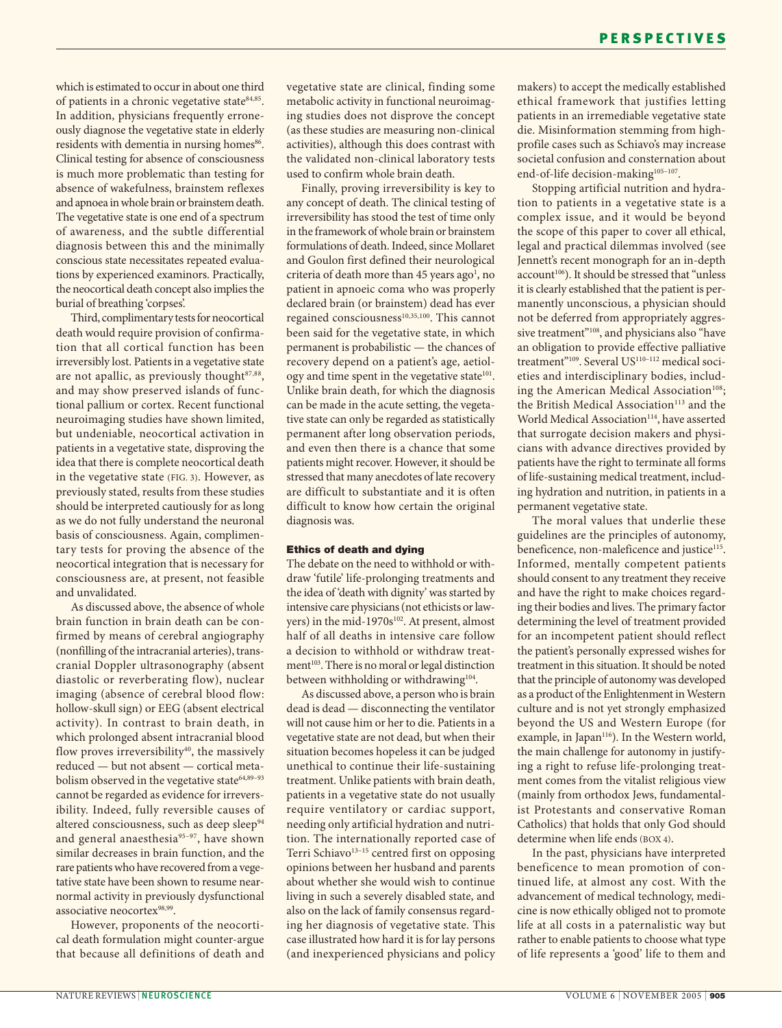which is estimated to occur in about one third of patients in a chronic vegetative state<sup>84,85</sup>. In addition, physicians frequently erroneously diagnose the vegetative state in elderly residents with dementia in nursing homes<sup>86</sup>. Clinical testing for absence of consciousness is much more problematic than testing for absence of wakefulness, brainstem reflexes and apnoea in whole brain or brainstem death. The vegetative state is one end of a spectrum of awareness, and the subtle differential diagnosis between this and the minimally conscious state necessitates repeated evaluations by experienced examinors. Practically, the neocortical death concept also implies the burial of breathing 'corpses'.

Third, complimentary tests for neocortical death would require provision of confirmation that all cortical function has been irreversibly lost. Patients in a vegetative state are not apallic, as previously thought<sup>87,88</sup>, and may show preserved islands of functional pallium or cortex. Recent functional neuroimaging studies have shown limited, but undeniable, neocortical activation in patients in a vegetative state, disproving the idea that there is complete neocortical death in the vegetative state (FIG. 3). However, as previously stated, results from these studies should be interpreted cautiously for as long as we do not fully understand the neuronal basis of consciousness. Again, complimentary tests for proving the absence of the neocortical integration that is necessary for consciousness are, at present, not feasible and unvalidated.

As discussed above, the absence of whole brain function in brain death can be confirmed by means of cerebral angiography (nonfilling of the intracranial arteries), transcranial Doppler ultrasonography (absent diastolic or reverberating flow), nuclear imaging (absence of cerebral blood flow: hollow-skull sign) or EEG (absent electrical activity). In contrast to brain death, in which prolonged absent intracranial blood flow proves irreversibility<sup>40</sup>, the massively reduced — but not absent — cortical metabolism observed in the vegetative state<sup>64,89-93</sup> cannot be regarded as evidence for irreversibility. Indeed, fully reversible causes of altered consciousness, such as deep sleep<sup>94</sup> and general anaesthesia<sup>95-97</sup>, have shown similar decreases in brain function, and the rare patients who have recovered from a vegetative state have been shown to resume nearnormal activity in previously dysfunctional associative neocortex98,99.

However, proponents of the neocortical death formulation might counter-argue that because all definitions of death and vegetative state are clinical, finding some metabolic activity in functional neuroimaging studies does not disprove the concept (as these studies are measuring non-clinical activities), although this does contrast with the validated non-clinical laboratory tests used to confirm whole brain death.

Finally, proving irreversibility is key to any concept of death. The clinical testing of irreversibility has stood the test of time only in the framework of whole brain or brainstem formulations of death. Indeed, since Mollaret and Goulon first defined their neurological criteria of death more than 45 years ago<sup>1</sup>, no patient in apnoeic coma who was properly declared brain (or brainstem) dead has ever regained consciousness<sup>10,35,100</sup>. This cannot been said for the vegetative state, in which permanent is probabilistic — the chances of recovery depend on a patient's age, aetiology and time spent in the vegetative state<sup>101</sup>. Unlike brain death, for which the diagnosis can be made in the acute setting, the vegetative state can only be regarded as statistically permanent after long observation periods, and even then there is a chance that some patients might recover. However, it should be stressed that many anecdotes of late recovery are difficult to substantiate and it is often difficult to know how certain the original diagnosis was.

# **Ethics of death and dying**

The debate on the need to withhold or withdraw 'futile' life-prolonging treatments and the idea of 'death with dignity' was started by intensive care physicians (not ethicists or lawyers) in the mid-1970s<sup>102</sup>. At present, almost half of all deaths in intensive care follow a decision to withhold or withdraw treatment<sup>103</sup>. There is no moral or legal distinction between withholding or withdrawing<sup>104</sup>.

As discussed above, a person who is brain dead is dead — disconnecting the ventilator will not cause him or her to die. Patients in a vegetative state are not dead, but when their situation becomes hopeless it can be judged unethical to continue their life-sustaining treatment. Unlike patients with brain death, patients in a vegetative state do not usually require ventilatory or cardiac support, needing only artificial hydration and nutrition. The internationally reported case of Terri Schiavo<sup>13-15</sup> centred first on opposing opinions between her husband and parents about whether she would wish to continue living in such a severely disabled state, and also on the lack of family consensus regarding her diagnosis of vegetative state. This case illustrated how hard it is for lay persons (and inexperienced physicians and policy

makers) to accept the medically established ethical framework that justifies letting patients in an irremediable vegetative state die. Misinformation stemming from highprofile cases such as Schiavo's may increase societal confusion and consternation about end-of-life decision-making<sup>105-107</sup>.

Stopping artificial nutrition and hydration to patients in a vegetative state is a complex issue, and it would be beyond the scope of this paper to cover all ethical, legal and practical dilemmas involved (see Jennett's recent monograph for an in-depth account<sup>106</sup>). It should be stressed that "unless it is clearly established that the patient is permanently unconscious, a physician should not be deferred from appropriately aggressive treatment"108, and physicians also "have an obligation to provide effective palliative treatment"<sup>109</sup>. Several US<sup>110-112</sup> medical societies and interdisciplinary bodies, including the American Medical Association<sup>108</sup>; the British Medical Association<sup>113</sup> and the World Medical Association<sup>114</sup>, have asserted that surrogate decision makers and physicians with advance directives provided by patients have the right to terminate all forms of life-sustaining medical treatment, including hydration and nutrition, in patients in a permanent vegetative state.

The moral values that underlie these guidelines are the principles of autonomy, beneficence, non-maleficence and justice<sup>115</sup>. Informed, mentally competent patients should consent to any treatment they receive and have the right to make choices regarding their bodies and lives. The primary factor determining the level of treatment provided for an incompetent patient should reflect the patient's personally expressed wishes for treatment in this situation. It should be noted that the principle of autonomy was developed as a product of the Enlightenment in Western culture and is not yet strongly emphasized beyond the US and Western Europe (for example, in Japan<sup>116</sup>). In the Western world, the main challenge for autonomy in justifying a right to refuse life-prolonging treatment comes from the vitalist religious view (mainly from orthodox Jews, fundamentalist Protestants and conservative Roman Catholics) that holds that only God should determine when life ends (BOX 4).

In the past, physicians have interpreted beneficence to mean promotion of continued life, at almost any cost. With the advancement of medical technology, medicine is now ethically obliged not to promote life at all costs in a paternalistic way but rather to enable patients to choose what type of life represents a 'good' life to them and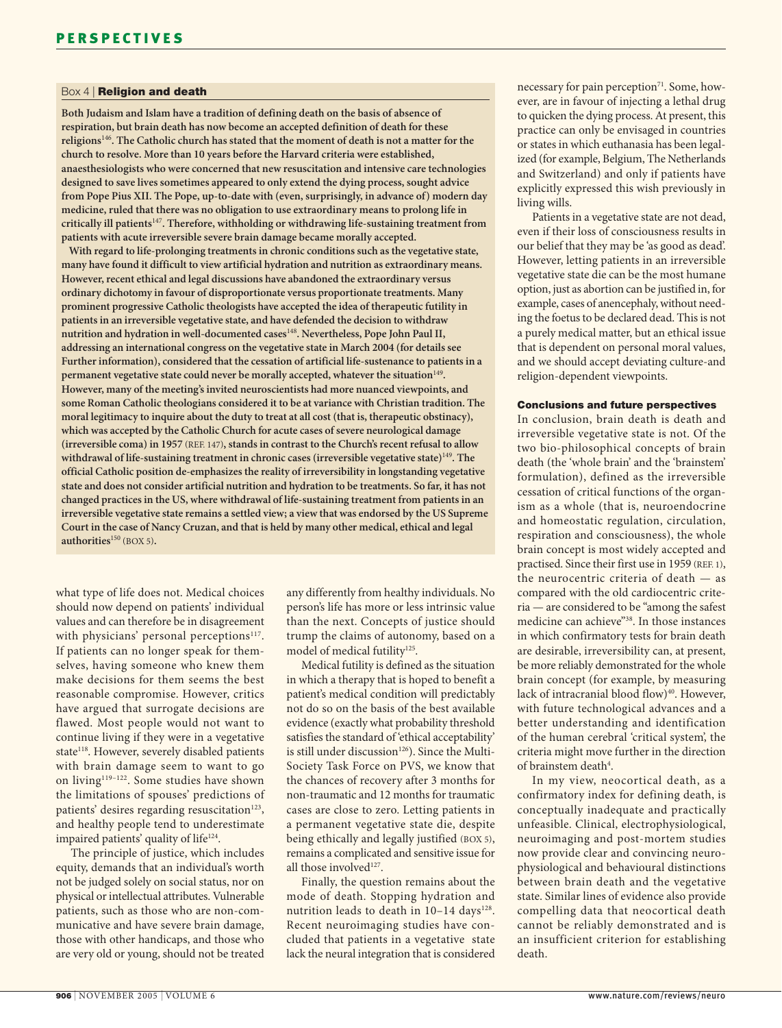# Box 4 | **Religion and death**

**Both Judaism and Islam have a tradition of defining death on the basis of absence of respiration, but brain death has now become an accepted definition of death for these religions**<sup>146</sup>**. The Catholic church has stated that the moment of death is not a matter for the church to resolve. More than 10 years before the Harvard criteria were established, anaesthesiologists who were concerned that new resuscitation and intensive care technologies designed to save lives sometimes appeared to only extend the dying process, sought advice from Pope Pius XII. The Pope, up-to-date with (even, surprisingly, in advance of) modern day medicine, ruled that there was no obligation to use extraordinary means to prolong life in critically ill patients**<sup>147</sup>**. Therefore, withholding or withdrawing life-sustaining treatment from patients with acute irreversible severe brain damage became morally accepted.**

**With regard to life-prolonging treatments in chronic conditions such as the vegetative state, many have found it difficult to view artificial hydration and nutrition as extraordinary means. However, recent ethical and legal discussions have abandoned the extraordinary versus ordinary dichotomy in favour of disproportionate versus proportionate treatments. Many prominent progressive Catholic theologists have accepted the idea of therapeutic futility in patients in an irreversible vegetative state, and have defended the decision to withdraw nutrition and hydration in well-documented cases**<sup>148</sup>**. Nevertheless, Pope John Paul II, addressing an international congress on the vegetative state in March 2004 (for details see Further information), considered that the cessation of artificial life-sustenance to patients in a**  permanent vegetative state could never be morally accepted, whatever the situation<sup>149</sup>. **However, many of the meeting's invited neuroscientists had more nuanced viewpoints, and some Roman Catholic theologians considered it to be at variance with Christian tradition. The moral legitimacy to inquire about the duty to treat at all cost (that is, therapeutic obstinacy), which was accepted by the Catholic Church for acute cases of severe neurological damage (irreversible coma) in 1957** REF. 147**, stands in contrast to the Church's recent refusal to allow withdrawal of life-sustaining treatment in chronic cases (irreversible vegetative state)**<sup>149</sup>**. The official Catholic position de-emphasizes the reality of irreversibility in longstanding vegetative state and does not consider artificial nutrition and hydration to be treatments. So far, it has not changed practices in the US, where withdrawal of life-sustaining treatment from patients in an irreversible vegetative state remains a settled view; a view that was endorsed by the US Supreme Court in the case of Nancy Cruzan, and that is held by many other medical, ethical and legal**  authorities<sup>150</sup> (BOX 5).

what type of life does not. Medical choices should now depend on patients' individual values and can therefore be in disagreement with physicians' personal perceptions<sup>117</sup>. If patients can no longer speak for themselves, having someone who knew them make decisions for them seems the best reasonable compromise. However, critics have argued that surrogate decisions are flawed. Most people would not want to continue living if they were in a vegetative state<sup>118</sup>. However, severely disabled patients with brain damage seem to want to go on living119–122. Some studies have shown the limitations of spouses' predictions of patients' desires regarding resuscitation<sup>123</sup>, and healthy people tend to underestimate impaired patients' quality of life<sup>124</sup>.

The principle of justice, which includes equity, demands that an individual's worth not be judged solely on social status, nor on physical or intellectual attributes. Vulnerable patients, such as those who are non-communicative and have severe brain damage, those with other handicaps, and those who are very old or young, should not be treated

any differently from healthy individuals. No person's life has more or less intrinsic value than the next. Concepts of justice should trump the claims of autonomy, based on a model of medical futility<sup>125</sup>.

Medical futility is defined as the situation in which a therapy that is hoped to benefit a patient's medical condition will predictably not do so on the basis of the best available evidence (exactly what probability threshold satisfies the standard of 'ethical acceptability' is still under discussion<sup>126</sup>). Since the Multi-Society Task Force on PVS, we know that the chances of recovery after 3 months for non-traumatic and 12 months for traumatic cases are close to zero. Letting patients in a permanent vegetative state die, despite being ethically and legally justified (BOX 5), remains a complicated and sensitive issue for all those involved<sup>127</sup>.

Finally, the question remains about the mode of death. Stopping hydration and nutrition leads to death in 10-14 days<sup>128</sup>. Recent neuroimaging studies have concluded that patients in a vegetative state lack the neural integration that is considered

necessary for pain perception<sup>71</sup>. Some, however, are in favour of injecting a lethal drug to quicken the dying process. At present, this practice can only be envisaged in countries or states in which euthanasia has been legalized (for example, Belgium, The Netherlands and Switzerland) and only if patients have explicitly expressed this wish previously in living wills.

Patients in a vegetative state are not dead, even if their loss of consciousness results in our belief that they may be 'as good as dead'. However, letting patients in an irreversible vegetative state die can be the most humane option, just as abortion can be justified in, for example, cases of anencephaly, without needing the foetus to be declared dead. This is not a purely medical matter, but an ethical issue that is dependent on personal moral values, and we should accept deviating culture-and religion-dependent viewpoints.

#### **Conclusions and future perspectives**

In conclusion, brain death is death and irreversible vegetative state is not. Of the two bio-philosophical concepts of brain death (the 'whole brain' and the 'brainstem' formulation), defined as the irreversible cessation of critical functions of the organism as a whole (that is, neuroendocrine and homeostatic regulation, circulation, respiration and consciousness), the whole brain concept is most widely accepted and practised. Since their first use in 1959 (REF. 1), the neurocentric criteria of death — as compared with the old cardiocentric criteria — are considered to be "among the safest medicine can achieve"38. In those instances in which confirmatory tests for brain death are desirable, irreversibility can, at present, be more reliably demonstrated for the whole brain concept (for example, by measuring lack of intracranial blood flow)<sup>40</sup>. However, with future technological advances and a better understanding and identification of the human cerebral 'critical system', the criteria might move further in the direction of brainstem death<sup>4</sup>.

In my view, neocortical death, as a confirmatory index for defining death, is conceptually inadequate and practically unfeasible. Clinical, electrophysiological, neuroimaging and post-mortem studies now provide clear and convincing neurophysiological and behavioural distinctions between brain death and the vegetative state. Similar lines of evidence also provide compelling data that neocortical death cannot be reliably demonstrated and is an insufficient criterion for establishing death.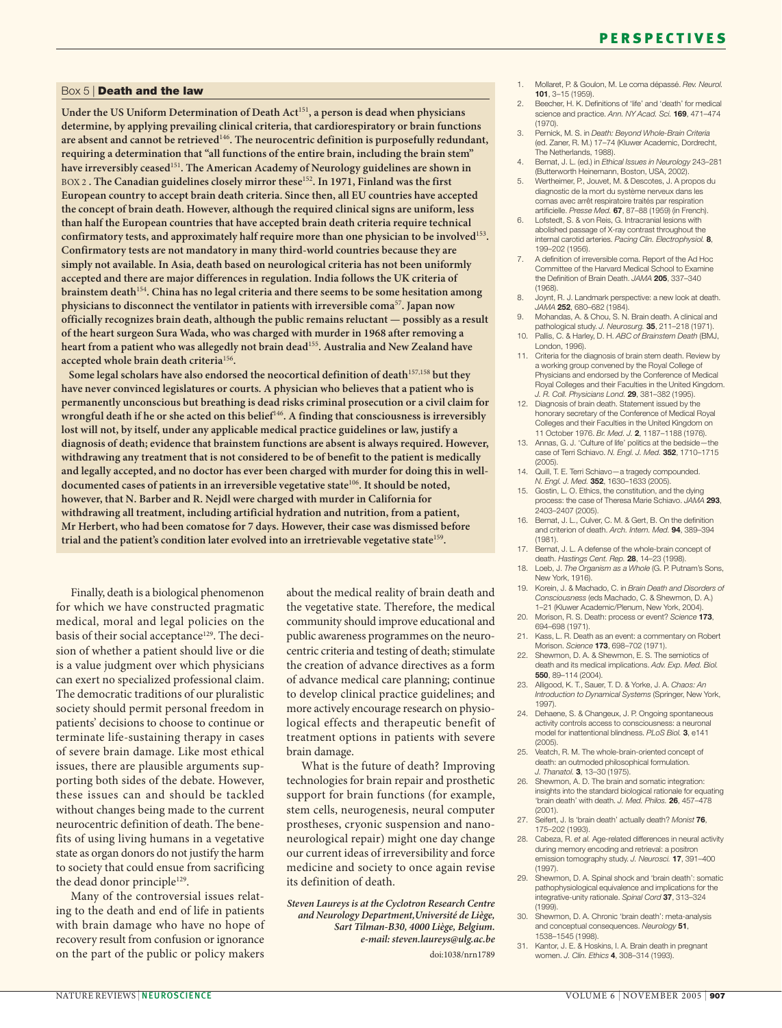#### Box 5 | **Death and the law**

**Under the US Uniform Determination of Death Act**<sup>151</sup>**, a person is dead when physicians determine, by applying prevailing clinical criteria, that cardiorespiratory or brain functions are absent and cannot be retrieved**<sup>146</sup>**. The neurocentric definition is purposefully redundant, requiring a determination that "all functions of the entire brain, including the brain stem" have irreversibly ceased**<sup>151</sup>**. The American Academy of Neurology guidelines are shown in**  BOX 2 **. The Canadian guidelines closely mirror these**<sup>152</sup>**. In 1971, Finland was the first European country to accept brain death criteria. Since then, all EU countries have accepted the concept of brain death. However, although the required clinical signs are uniform, less than half the European countries that have accepted brain death criteria require technical**  confirmatory tests, and approximately half require more than one physician to be involved<sup>153</sup>. **Confirmatory tests are not mandatory in many third-world countries because they are simply not available. In Asia, death based on neurological criteria has not been uniformly accepted and there are major differences in regulation. India follows the UK criteria of brainstem death**<sup>154</sup>**. China has no legal criteria and there seems to be some hesitation among physicians to disconnect the ventilator in patients with irreversible coma**<sup>57</sup>**. Japan now officially recognizes brain death, although the public remains reluctant — possibly as a result of the heart surgeon Sura Wada, who was charged with murder in 1968 after removing a heart from a patient who was allegedly not brain dead**<sup>155</sup>**. Australia and New Zealand have accepted whole brain death criteria**<sup>156</sup>**.**

**Some legal scholars have also endorsed the neocortical definition of death**157,158 **but they have never convinced legislatures or courts. A physician who believes that a patient who is permanently unconscious but breathing is dead risks criminal prosecution or a civil claim for wrongful death if he or she acted on this belief**<sup>146</sup>**. A finding that consciousness is irreversibly lost will not, by itself, under any applicable medical practice guidelines or law, justify a diagnosis of death; evidence that brainstem functions are absent is always required. However, withdrawing any treatment that is not considered to be of benefit to the patient is medically and legally accepted, and no doctor has ever been charged with murder for doing this in welldocumented cases of patients in an irreversible vegetative state**<sup>106</sup>**. It should be noted, however, that N. Barber and R. Nejdl were charged with murder in California for withdrawing all treatment, including artificial hydration and nutrition, from a patient, Mr Herbert, who had been comatose for 7 days. However, their case was dismissed before trial and the patient's condition later evolved into an irretrievable vegetative state**<sup>159</sup>**.**

Finally, death is a biological phenomenon for which we have constructed pragmatic medical, moral and legal policies on the basis of their social acceptance<sup>129</sup>. The decision of whether a patient should live or die is a value judgment over which physicians can exert no specialized professional claim. The democratic traditions of our pluralistic society should permit personal freedom in patients' decisions to choose to continue or terminate life-sustaining therapy in cases of severe brain damage. Like most ethical issues, there are plausible arguments supporting both sides of the debate. However, these issues can and should be tackled without changes being made to the current neurocentric definition of death. The benefits of using living humans in a vegetative state as organ donors do not justify the harm to society that could ensue from sacrificing the dead donor principle<sup>129</sup>.

Many of the controversial issues relating to the death and end of life in patients with brain damage who have no hope of recovery result from confusion or ignorance on the part of the public or policy makers

about the medical reality of brain death and the vegetative state. Therefore, the medical community should improve educational and public awareness programmes on the neurocentric criteria and testing of death; stimulate the creation of advance directives as a form of advance medical care planning; continue to develop clinical practice guidelines; and more actively encourage research on physiological effects and therapeutic benefit of treatment options in patients with severe brain damage.

What is the future of death? Improving technologies for brain repair and prosthetic support for brain functions (for example, stem cells, neurogenesis, neural computer prostheses, cryonic suspension and nanoneurological repair) might one day change our current ideas of irreversibility and force medicine and society to once again revise its definition of death.

*Steven Laureys is at the Cyclotron Research Centre and Neurology Department,Université de Liège, Sart Tilman-B30, 4000 Liège, Belgium. e-mail: steven.laureys@ulg.ac.be*

- 1. Mollaret, P. & Goulon, M. Le coma dépassé. *Rev. Neurol.* **101**, 3–15 (1959).
- 2. Beecher, H. K. Definitions of 'life' and 'death' for medical science and practice. *Ann. NY Acad. Sci.* **169**, 471–474  $(1970)$
- 3. Pernick, M. S. in *Death: Beyond Whole-Brain Criteria* (ed. Zaner, R. M.) 17–74 (Kluwer Academic, Dordrecht, The Netherlands, 1988).
- 4. Bernat, J. L. (ed.) in *Ethical Issues in Neurology* 243–281 (Butterworth Heinemann, Boston, USA, 2002).
- 5. Wertheimer, P., Jouvet, M. & Descotes, J. A propos du diagnostic de la mort du système nerveux dans les comas avec arrêt respiratoire traités par respiration artificielle. *Presse Med.* **67**, 87–88 (1959) (in French).
- 6. Lofstedt, S. & von Reis, G. Intracranial lesions with abolished passage of X-ray contrast throughout the internal carotid arteries. *Pacing Clin. Electrophysiol.* **8**, 199–202 (1956).
- 7. A definition of irreversible coma. Report of the Ad Hoc Committee of the Harvard Medical School to Examine the Definition of Brain Death. *JAMA* **205**, 337–340 (1968).
- 8. Joynt, R. J. Landmark perspective: a new look at death. *JAMA* **252**, 680–682 (1984).
- 9. Mohandas, A. & Chou, S. N. Brain death. A clinical and
- pathological study. *J. Neurosurg.* **35**, 211–218 (1971). 10. Pallis, C. & Harley, D. H. *ABC of Brainstem Death* (BMJ, London, 1996).
- 11. Criteria for the diagnosis of brain stem death. Review by a working group convened by the Royal College of Physicians and endorsed by the Conference of Medical Royal Colleges and their Faculties in the United Kingdom. *J. R. Coll. Physicians Lond.* **29**, 381–382 (1995).
- 12. Diagnosis of brain death. Statement issued by the honorary secretary of the Conference of Medical Royal Colleges and their Faculties in the United Kingdom on 11 October 1976. *Br. Med. J.* **2**, 1187–1188 (1976).
- 13. Annas, G. J. 'Culture of life' politics at the bedside—the case of Terri Schiavo. *N. Engl. J. Med.* **352**, 1710–1715 (2005).
- 14. Quill, T. E. Terri Schiavo—a tragedy compounded. *N. Engl. J. Med.* **352**, 1630–1633 (2005).
- 15. Gostin, L. O. Ethics, the constitution, and the dying process: the case of Theresa Marie Schiavo. *JAMA* **293**, 2403–2407 (2005).
- 16. Bernat, J. L., Culver, C. M. & Gert, B. On the definition and criterion of death. *Arch. Intern. Med.* **94**, 389–394 (1981).
- 17. Bernat, J. L. A defense of the whole-brain concept of death. *Hastings Cent. Rep.* **28**, 14–23 (1998).
- 18. Loeb, J. *The Organism as a Whole* (G. P. Putnam's Sons, New York, 1916).
- 19. Korein, J. & Machado, C. in *Brain Death and Disorders of Consciousness* (eds Machado, C. & Shewmon, D. A.) 1–21 (Kluwer Academic/Plenum, New York, 2004).
- 20. Morison, R. S. Death: process or event? *Science* **173**, 694–698 (1971).
- 21. Kass, L. R. Death as an event: a commentary on Robert Morison. *Science* **173**, 698–702 (1971).
- 22. Shewmon, D. A. & Shewmon, E. S. The semiotics of death and its medical implications. *Adv. Exp. Med. Biol.* **550**, 89–114 (2004).
- 23. Alligood, K. T., Sauer, T. D. & Yorke, J. A. *Chaos: An Introduction to Dynamical Systems* (Springer, New York, 1997).
- 24. Dehaene, S. & Changeux, J. P. Ongoing spontaneous activity controls access to consciousness: a neuronal model for inattentional blindness. *PLoS Biol.* **3**, e141 (2005).
- 25. Veatch, R. M. The whole-brain-oriented concept of death: an outmoded philosophical formulation. *J. Thanatol.* **3**, 13–30 (1975).
- 26. Shewmon, A. D. The brain and somatic integration: insights into the standard biological rationale for equating 'brain death' with death. *J. Med. Philos.* **26**, 457–478 (2001).
- 27. Seifert, J. Is 'brain death' actually death? *Monist* **76**, 175–202 (1993).
- 28. Cabeza, R. *et al.* Age-related differences in neural activity during memory encoding and retrieval: a positron emission tomography study. *J. Neurosci.* **17**, 391–400 (1997).
- 29. Shewmon, D. A. Spinal shock and 'brain death': somatic pathophysiological equivalence and implications for the integrative-unity rationale. *Spinal Cord* **37**, 313–324 (1999).
- 30. Shewmon, D. A. Chronic 'brain death': meta-analysis and conceptual consequences. *Neurology* **51**, 1538–1545 (1998).
- 31. Kantor, J. E. & Hoskins, I. A. Brain death in pregnant women. *J. Clin. Ethics* **4**, 308–314 (1993).

doi:1038/nrn1789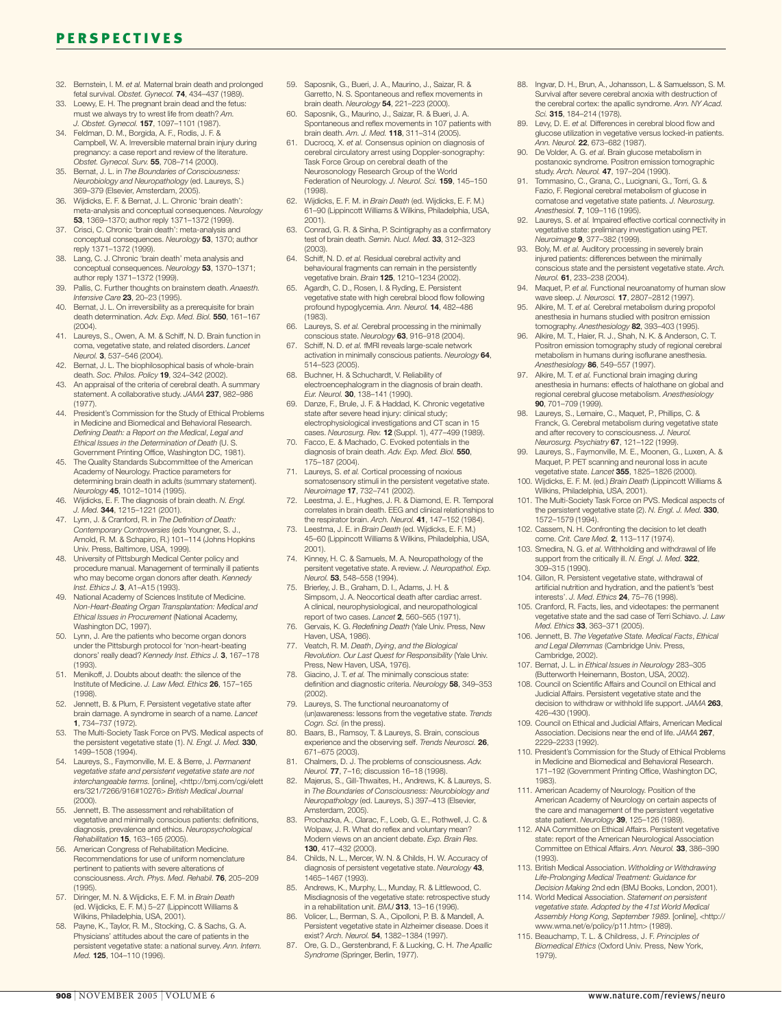- 32. Bernstein, I. M. *et al.* Maternal brain death and prolonged fetal survival. *Obstet. Gynecol.* **74**, 434–437 (1989).
- 33. Loewy, E. H. The pregnant brain dead and the fetus: must we always try to wrest life from death? *Am.*
- *J. Obstet. Gynecol.* **157**, 1097–1101 (1987). 34. Feldman, D. M., Borgida, A. F., Rodis, J. F. & Campbell, W. A. Irreversible maternal brain injury during pregnancy: a case report and review of the literature. *Obstet. Gynecol. Surv.* **55**, 708–714 (2000).
- 35. Bernat, J. L. in *The Boundaries of Consciousness: Neurobiology and Neuropathology* (ed. Laureys, S.) 369–379 (Elsevier, Amsterdam, 2005).
- 36. Wijdicks, E. F. & Bernat, J. L. Chronic 'brain death': meta-analysis and conceptual consequences. *Neurology* **53**, 1369–1370; author reply 1371–1372 (1999).
- 37. Crisci, C. Chronic 'brain death': meta-analysis and conceptual consequences. *Neurology* **53**, 1370; author reply 1371–1372 (1999).
- 38. Lang, C. J. Chronic 'brain death' meta analysis and conceptual consequences. *Neurology* **53**, 1370–1371; author reply 1371–1372 (1999).
- 39. Pallis, C. Further thoughts on brainstem death. *Anaesth. Intensive Care* **23**, 20–23 (1995).
- 40. Bernat, J. L. On irreversibility as a prerequisite for brain death determination. *Adv. Exp. Med. Biol.* **550**, 161–167  $(2004)$
- 41. Laureys, S., Owen, A. M. & Schiff, N. D. Brain function in coma, vegetative state, and related disorders. *Lancet Neurol.* **3**, 537–546 (2004).
- 42. Bernat, J. L. The biophilosophical basis of whole-brain death. *Soc. Philos. Policy* **19**, 324–342 (2002).
- 43. An appraisal of the criteria of cerebral death. A summary statement. A collaborative study. *JAMA* **237**, 982–986 (1977).
- 44. President's Commission for the Study of Ethical Problems in Medicine and Biomedical and Behavioral Research. *Defining Death: a Report on the Medical*, *Legal and Ethical Issues in the Determination of Death* (U. S. Government Printing Office, Washington DC, 1981).
- 45. The Quality Standards Subcommittee of the American Academy of Neurology. Practice parameters for determining brain death in adults (summary statement). *Neurology* **45**, 1012–1014 (1995). 46. Wijdicks, E. F. The diagnosis of brain death. *N. Engl.*
- *J. Med.* **344**, 1215–1221 (2001).
- 47. Lynn, J. & Cranford, R. in *The Definition of Death: Contemporary Controversies* (eds Youngner, S. J., Arnold, R. M. & Schapiro, R.) 101–114 (Johns Hopkins Univ. Press, Baltimore, USA, 1999).
- 48. University of Pittsburgh Medical Center policy and procedure manual. Management of terminally ill patients who may become organ donors after death. *Kennedy Inst. Ethics J.* **3**, A1–A15 (1993).
- 49. National Academy of Sciences Institute of Medicine. *Non-Heart-Beating Organ Transplantation: Medical and Ethical Issues in Procurement* (National Academy, Washington DC, 1997).
- 50. Lynn, J. Are the patients who become organ donors under the Pittsburgh protocol for 'non-heart-beating donors' really dead? *Kennedy Inst. Ethics J.* **3**, 167–178 (1993).
- Menikoff, J. Doubts about death: the silence of the Institute of Medicine. *J. Law Med. Ethics* **26**, 157–165 (1998).
- 52. Jennett, B. & Plum, F. Persistent vegetative state after brain damage. A syndrome in search of a name. *Lancet* **1**, 734–737 (1972).
- 53. The Multi-Society Task Force on PVS. Medical aspects of the persistent vegetative state (1). *N. Engl. J. Med.* **330**, 1499–1508 (1994).
- 54. Laureys, S., Faymonville, M. E. & Berre, J. *Permanent vegetative state and persistent vegetative state are not interchangeable terms.* [online], <http://bmj.com/cgi/elett ers/321/7266/916#10276> *British Medical Journal*  $(2000)$
- 55. Jennett, B. The assessment and rehabilitation of vegetative and minimally conscious patients: definitions, diagnosis, prevalence and ethics. *Neuropsychological Rehabilitation* **15**, 163–165 (2005).
- 56. American Congress of Rehabilitation Medicine. Recommendations for use of uniform nomenclature pertinent to patients with severe alterations of consciousness. *Arch. Phys. Med. Rehabil.* **76**, 205–209 (1995).
- 57. Diringer, M. N. & Wijdicks, E. F. M. in *Brain Death* (ed. Wijdicks, E. F. M.) 5–27 (Lippincott Williams & Wilkins, Philadelphia, USA, 2001).
- 58. Payne, K., Taylor, R. M., Stocking, C. & Sachs, G. A. Physicians' attitudes about the care of patients in the persistent vegetative state: a national survey. *Ann. Intern. Med.* **125**, 104–110 (1996).
- 59. Saposnik, G., Bueri, J. A., Maurino, J., Saizar, R. & Garretto, N. S. Spontaneous and reflex movements in brain death. *Neurology* **54**, 221–223 (2000).
- 60. Saposnik, G., Maurino, J., Saizar, R. & Bueri, J. A. Spontaneous and reflex movements in 107 patients with brain death. *Am. J. Med.* **118**, 311–314 (2005).
- 61. Ducrocq, X. *et al.* Consensus opinion on diagnosis of cerebral circulatory arrest using Doppler-sonography: Task Force Group on cerebral death of the Neurosonology Research Group of the World Federation of Neurology. *J. Neurol. Sci.* **159**, 145–150 (1998).
- 62. Wijdicks, E. F. M. in *Brain Death* (ed. Wijdicks, E. F. M.) 61–90 (Lippincott Williams & Wilkins, Philadelphia, USA, 2001).
- 63. Conrad, G. R. & Sinha, P. Scintigraphy as a confirmatory test of brain death. *Semin. Nucl. Med.* **33**, 312–323 (2003).
- 64. Schiff, N. D. *et al.* Residual cerebral activity and behavioural fragments can remain in the persistently vegetative brain. *Brain* **125**, 1210–1234 (2002).
- Agardh, C. D., Rosen, I. & Ryding, E. Persistent vegetative state with high cerebral blood flow following profound hypoglycemia. *Ann. Neurol.* **14**, 482–486 (1983).
- 66. Laureys, S. *et al.* Cerebral processing in the minimally conscious state. *Neurology* **63**, 916–918 (2004).
- Schiff, N. D. *et al.* **fMRI** reveals large-scale network activation in minimally conscious patients. *Neurology* **64**, 514–523 (2005).
- 68. Buchner, H. & Schuchardt, V. Reliability of electroencephalogram in the diagnosis of brain death. *Eur. Neurol.* **30**, 138–141 (1990).
- Danze, F., Brule, J. F. & Haddad, K. Chronic vegetative state after severe head injury: clinical study; electrophysiological investigations and CT scan in 15 cases. *Neurosurg. Rev.* **12** (Suppl. 1), 477–499 (1989).
- 70. Facco, E. & Machado, C. Evoked potentials in the diagnosis of brain death. *Adv. Exp. Med. Biol.* **550**, 175–187 (2004).
- 71. Laureys, S. *et al.* Cortical processing of noxious somatosensory stimuli in the persistent vegetative state. *Neuroimage* **17**, 732–741 (2002).
- Leestma, J. E., Hughes, J. R. & Diamond, E. R. Temporal correlates in brain death. EEG and clinical relationships to the respirator brain. *Arch. Neurol.* **41**, 147–152 (1984).
- 73. Leestma, J. E. in *Brain Death* (ed. Wijdicks, E. F. M.) 45–60 (Lippincott Williams & Wilkins, Philadelphia, USA, 2001).
- 74. Kinney, H. C. & Samuels, M. A. Neuropathology of the persitent vegetative state. A review. *J. Neuropathol. Exp. Neurol.* **53**, 548–558 (1994).
- 75. Brierley, J. B., Graham, D. I., Adams, J. H. & Simpsom, J. A. Neocortical death after cardiac arrest. A clinical, neurophysiological, and neuropathological report of two cases. *Lancet* **2**, 560–565 (1971).
- 76. Gervais, K. G. *Redefining Death* (Yale Univ. Press, New Haven, USA, 1986).
- 77. Veatch, R. M. *Death*, *Dying*, *and the Biological Revolution. Our Last Quest for Responsibility* (Yale Univ. Press, New Haven, USA, 1976).
- 78. Giacino, J. T. *et al.* The minimally conscious state: definition and diagnostic criteria. *Neurology* **58**, 349–353 (2002).
- 79. Laureys, S. The functional neuroanatomy of (un)awareness: lessons from the vegetative state. *Trends Cogn. Sci.* (in the press).
- 80. Baars, B., Ramsoy, T. & Laureys, S. Brain, conscious experience and the observing self. *Trends Neurosci.* **26**, 671–675 (2003).
- 81. Chalmers, D. J. The problems of consciousness. *Adv. Neurol.* **77**, 7–16; discussion 16–18 (1998).
- 82. Majerus, S., Gill-Thwaites, H., Andrews, K. & Laureys, S. in *The Boundaries of Consciousness: Neurobiology and Neuropathology* (ed. Laureys, S.) 397–413 (Elsevier,
- Amsterdam, 2005). 83. Prochazka, A., Clarac, F., Loeb, G. E., Rothwell, J. C. & Wolpaw, J. R. What do reflex and voluntary mean? Modern views on an ancient debate. *Exp. Brain Res.* **130**, 417–432 (2000).
- 84. Childs, N. L., Mercer, W. N. & Childs, H. W. Accuracy of diagnosis of persistent vegetative state. *Neurology* **43**, 1465–1467 (1993).
- Andrews, K., Murphy, L., Munday, R. & Littlewood, C. Misdiagnosis of the vegetative state: retrospective study in a rehabilitation unit. *BMJ* **313**, 13–16 (1996).
- 86. Volicer, L., Berman, S. A., Cipolloni, P. B. & Mandell, A. Persistent vegetative state in Alzheimer disease. Does it exist? *Arch. Neurol.* **54**, 1382–1384 (1997).
- 87. Ore, G. D., Gerstenbrand, F. & Lucking, C. H. *The Apallic Syndrome* (Springer, Berlin, 1977).
- 88. Ingvar, D. H., Brun, A., Johansson, L. & Samuelsson, S. M. Survival after severe cerebral anoxia with destruction of the cerebral cortex: the apallic syndrome. *Ann. NY Acad. Sci.* **315**, 184–214 (1978).
- Levy, D. E. et al. Differences in cerebral blood flow and glucose utilization in vegetative versus locked-in patients. *Ann. Neurol.* **22**, 673–682 (1987).
- 90. De Volder, A. G. *et al.* Brain glucose metabolism in postanoxic syndrome. Positron emission tomographic study. *Arch. Neurol.* **47**, 197–204 (1990).
- Tommasino, C., Grana, C., Lucignani, G., Torri, G. & Fazio, F. Regional cerebral metabolism of glucose in comatose and vegetative state patients. *J. Neurosurg. Anesthesiol.* **7**, 109–116 (1995).
- 92. Laureys, S. *et al.* Impaired effective cortical connectivity in vegetative state: preliminary investigation using PET. *Neuroimage* **9**, 377–382 (1999).
- 93. Boly, M. *et al.* Auditory processing in severely brain injured patients: differences between the minimally conscious state and the persistent vegetative state. *Arch. Neurol.* **61**, 233–238 (2004).
- 94. Maquet, P. *et al.* Functional neuroanatomy of human slow wave sleep. *J. Neurosci.* **17**, 2807–2812 (1997).
- 95. Alkire, M. T. *et al.* Cerebral metabolism during propofol anesthesia in humans studied with positron emission tomography. *Anesthesiology* **82**, 393–403 (1995).
- Alkire, M. T., Haier, R. J., Shah, N. K. & Anderson, C. T. Positron emission tomography study of regional cerebral metabolism in humans during isoflurane anesthesia. *Anesthesiology* **86**, 549–557 (1997).
- 97. Alkire, M. T. *et al.* Functional brain imaging during anesthesia in humans: effects of halothane on global and regional cerebral glucose metabolism. *Anesthesiology* **90**, 701–709 (1999).
- 98. Laureys, S., Lemaire, C., Maquet, P., Phillips, C. & Franck, G. Cerebral metabolism during vegetative state and after recovery to consciousness. *J. Neurol. Neurosurg. Psychiatry* **67**, 121–122 (1999).
- Laureys, S., Faymonville, M. E., Moonen, G., Luxen, A. & Maquet, P. PET scanning and neuronal loss in acute vegetative state. *Lancet* **355**, 1825–1826 (2000).
- 100. Wijdicks, E. F. M. (ed.) *Brain Death* (Lippincott Williams & Wilkins, Philadelphia, USA, 2001).
- 101. The Multi-Society Task Force on PVS. Medical aspects of the persistent vegetative state (2). *N. Engl. J. Med.* **330**, 1572–1579 (1994).
- 102. Cassem, N. H. Confronting the decision to let death come. *Crit. Care Med.* **2**, 113–117 (1974).
- 103. Smedira, N. G. *et al.* Withholding and withdrawal of life support from the critically ill. *N. Engl. J. Med.* **322**, 309–315 (1990).
- 104. Gillon, R. Persistent vegetative state, withdrawal of artificial nutrition and hydration, and the patient's 'best interests'. *J. Med. Ethics* **24**, 75–76 (1998).
- 105. Cranford, R. Facts, lies, and videotapes: the permanent vegetative state and the sad case of Terri Schiavo. *J. Law Med. Ethics* **33**, 363–371 (2005).
- 106. Jennett, B. *The Vegetative State. Medical Facts*, *Ethical and Legal Dilemmas* (Cambridge Univ. Press, Cambridge, 2002).
- 107. Bernat, J. L. in *Ethical Issues in Neurology* 283–305 (Butterworth Heinemann, Boston, USA, 2002).
- 108. Council on Scientific Affairs and Council on Ethical and Judicial Affairs. Persistent vegetative state and the decision to withdraw or withhold life support. *JAMA* **263**, 426–430 (1990).
- 109. Council on Ethical and Judicial Affairs, American Medical Association. Decisions near the end of life. *JAMA* **267**, 2229–2233 (1992).
- 110. President's Commission for the Study of Ethical Problems in Medicine and Biomedical and Behavioral Research. 171–192 (Government Printing Office, Washington DC, 1983).
- 111. American Academy of Neurology. Position of the American Academy of Neurology on certain aspects of the care and management of the persistent vegetative state patient. *Neurology* **39**, 125–126 (1989).
- 112. ANA Committee on Ethical Affairs. Persistent vegetative state: report of the American Neurological Association Committee on Ethical Affairs. *Ann. Neurol.* **33**, 386–390 (1993).
- 113. British Medical Association. *Witholding or Withdrawing Life-Prolonging Medical Treatment: Guidance for Decision Making* 2nd edn (BMJ Books, London, 2001).
- 114. World Medical Association. *Statement on persistent vegetative state. Adopted by the 41st World Medical Assembly Hong Kong, September 1989.* [online], <http://
- www.wma.net/e/policy/p11.htm> (1989). 115. Beauchamp, T. L. & Childress, J. F. *Principles of Biomedical Ethics* (Oxford Univ. Press, New York, 1979).